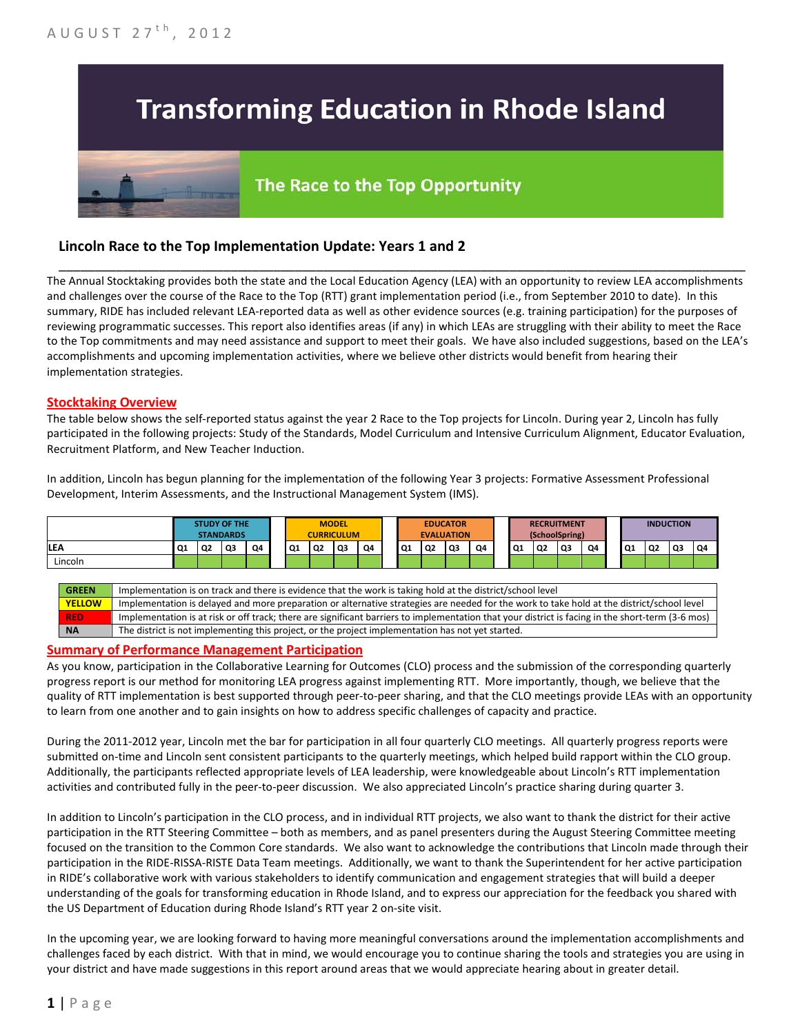# **Transforming Education in Rhode Island**

# The Race to the Top Opportunity

## **Lincoln Race to the Top Implementation Update: Years 1 and 2**

The Annual Stocktaking provides both the state and the Local Education Agency (LEA) with an opportunity to review LEA accomplishments and challenges over the course of the Race to the Top (RTT) grant implementation period (i.e., from September 2010 to date). In this summary, RIDE has included relevant LEA-reported data as well as other evidence sources (e.g. training participation) for the purposes of reviewing programmatic successes. This report also identifies areas (if any) in which LEAs are struggling with their ability to meet the Race to the Top commitments and may need assistance and support to meet their goals. We have also included suggestions, based on the LEA's accomplishments and upcoming implementation activities, where we believe other districts would benefit from hearing their implementation strategies.

\_\_\_\_\_\_\_\_\_\_\_\_\_\_\_\_\_\_\_\_\_\_\_\_\_\_\_\_\_\_\_\_\_\_\_\_\_\_\_\_\_\_\_\_\_\_\_\_\_\_\_\_\_\_\_\_\_\_\_\_\_\_\_\_\_\_\_\_\_\_\_\_\_\_\_\_\_\_\_\_\_\_\_\_\_\_\_\_\_\_\_\_\_\_\_\_

#### **Stocktaking Overview**

The table below shows the self-reported status against the year 2 Race to the Top projects for Lincoln. During year 2, Lincoln has fully participated in the following projects: Study of the Standards, Model Curriculum and Intensive Curriculum Alignment, Educator Evaluation, Recruitment Platform, and New Teacher Induction.

In addition, Lincoln has begun planning for the implementation of the following Year 3 projects: Formative Assessment Professional Development, Interim Assessments, and the Instructional Management System (IMS).



**RED** Implementation is at risk or off track; there are significant barriers to implementation that your district is facing in the short-term (3-6 mos) **NA** The district is not implementing this project, or the project implementation has not yet started.

#### **Summary of Performance Management Participation**

As you know, participation in the Collaborative Learning for Outcomes (CLO) process and the submission of the corresponding quarterly progress report is our method for monitoring LEA progress against implementing RTT. More importantly, though, we believe that the quality of RTT implementation is best supported through peer-to-peer sharing, and that the CLO meetings provide LEAs with an opportunity to learn from one another and to gain insights on how to address specific challenges of capacity and practice.

During the 2011-2012 year, Lincoln met the bar for participation in all four quarterly CLO meetings. All quarterly progress reports were submitted on-time and Lincoln sent consistent participants to the quarterly meetings, which helped build rapport within the CLO group. Additionally, the participants reflected appropriate levels of LEA leadership, were knowledgeable about Lincoln's RTT implementation activities and contributed fully in the peer-to-peer discussion. We also appreciated Lincoln's practice sharing during quarter 3.

In addition to Lincoln's participation in the CLO process, and in individual RTT projects, we also want to thank the district for their active participation in the RTT Steering Committee – both as members, and as panel presenters during the August Steering Committee meeting focused on the transition to the Common Core standards. We also want to acknowledge the contributions that Lincoln made through their participation in the RIDE-RISSA-RISTE Data Team meetings. Additionally, we want to thank the Superintendent for her active participation in RIDE's collaborative work with various stakeholders to identify communication and engagement strategies that will build a deeper understanding of the goals for transforming education in Rhode Island, and to express our appreciation for the feedback you shared with the US Department of Education during Rhode Island's RTT year 2 on-site visit.

In the upcoming year, we are looking forward to having more meaningful conversations around the implementation accomplishments and challenges faced by each district. With that in mind, we would encourage you to continue sharing the tools and strategies you are using in your district and have made suggestions in this report around areas that we would appreciate hearing about in greater detail.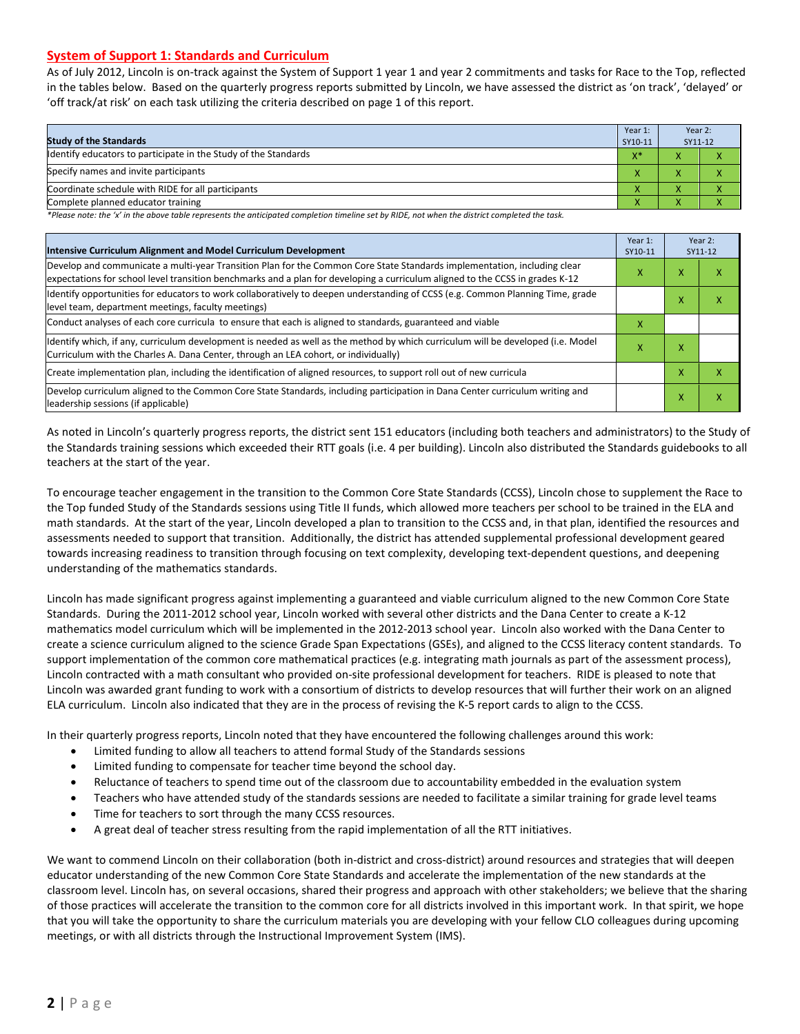#### **System of Support 1: Standards and Curriculum**

As of July 2012, Lincoln is on-track against the System of Support 1 year 1 and year 2 commitments and tasks for Race to the Top, reflected in the tables below. Based on the quarterly progress reports submitted by Lincoln, we have assessed the district as 'on track', 'delayed' or 'off track/at risk' on each task utilizing the criteria described on page 1 of this report.

| <b>Study of the Standards</b>                                   | Year 1:<br>SY10-11 | Year 2:<br>SY11-12 |  |
|-----------------------------------------------------------------|--------------------|--------------------|--|
| Identify educators to participate in the Study of the Standards | $V^*$              |                    |  |
| Specify names and invite participants                           |                    |                    |  |
| Coordinate schedule with RIDE for all participants              |                    |                    |  |
| Complete planned educator training                              | Λ                  | ∧                  |  |

*\*Please note: the 'x' in the above table represents the anticipated completion timeline set by RIDE, not when the district completed the task.*

| Intensive Curriculum Alignment and Model Curriculum Development                                                                                                                                                                                           |   |   | Year 2:<br>SY11-12 |
|-----------------------------------------------------------------------------------------------------------------------------------------------------------------------------------------------------------------------------------------------------------|---|---|--------------------|
| Develop and communicate a multi-year Transition Plan for the Common Core State Standards implementation, including clear<br>expectations for school level transition benchmarks and a plan for developing a curriculum aligned to the CCSS in grades K-12 |   |   | χ                  |
| Identify opportunities for educators to work collaboratively to deepen understanding of CCSS (e.g. Common Planning Time, grade<br>level team, department meetings, faculty meetings)                                                                      |   |   | χ                  |
| Conduct analyses of each core curricula to ensure that each is aligned to standards, guaranteed and viable                                                                                                                                                | X |   |                    |
| Identify which, if any, curriculum development is needed as well as the method by which curriculum will be developed (i.e. Model<br>Curriculum with the Charles A. Dana Center, through an LEA cohort, or individually)                                   |   |   |                    |
| Create implementation plan, including the identification of aligned resources, to support roll out of new curricula                                                                                                                                       |   | x | χ                  |
| Develop curriculum aligned to the Common Core State Standards, including participation in Dana Center curriculum writing and<br>leadership sessions (if applicable)                                                                                       |   | x | χ                  |

As noted in Lincoln's quarterly progress reports, the district sent 151 educators (including both teachers and administrators) to the Study of the Standards training sessions which exceeded their RTT goals (i.e. 4 per building). Lincoln also distributed the Standards guidebooks to all teachers at the start of the year.

To encourage teacher engagement in the transition to the Common Core State Standards (CCSS), Lincoln chose to supplement the Race to the Top funded Study of the Standards sessions using Title II funds, which allowed more teachers per school to be trained in the ELA and math standards. At the start of the year, Lincoln developed a plan to transition to the CCSS and, in that plan, identified the resources and assessments needed to support that transition. Additionally, the district has attended supplemental professional development geared towards increasing readiness to transition through focusing on text complexity, developing text-dependent questions, and deepening understanding of the mathematics standards.

Lincoln has made significant progress against implementing a guaranteed and viable curriculum aligned to the new Common Core State Standards. During the 2011-2012 school year, Lincoln worked with several other districts and the Dana Center to create a K-12 mathematics model curriculum which will be implemented in the 2012-2013 school year. Lincoln also worked with the Dana Center to create a science curriculum aligned to the science Grade Span Expectations (GSEs), and aligned to the CCSS literacy content standards. To support implementation of the common core mathematical practices (e.g. integrating math journals as part of the assessment process), Lincoln contracted with a math consultant who provided on-site professional development for teachers. RIDE is pleased to note that Lincoln was awarded grant funding to work with a consortium of districts to develop resources that will further their work on an aligned ELA curriculum. Lincoln also indicated that they are in the process of revising the K-5 report cards to align to the CCSS.

In their quarterly progress reports, Lincoln noted that they have encountered the following challenges around this work:

- Limited funding to allow all teachers to attend formal Study of the Standards sessions
- Limited funding to compensate for teacher time beyond the school day.
- Reluctance of teachers to spend time out of the classroom due to accountability embedded in the evaluation system
- Teachers who have attended study of the standards sessions are needed to facilitate a similar training for grade level teams
- Time for teachers to sort through the many CCSS resources.
- A great deal of teacher stress resulting from the rapid implementation of all the RTT initiatives.

We want to commend Lincoln on their collaboration (both in-district and cross-district) around resources and strategies that will deepen educator understanding of the new Common Core State Standards and accelerate the implementation of the new standards at the classroom level. Lincoln has, on several occasions, shared their progress and approach with other stakeholders; we believe that the sharing of those practices will accelerate the transition to the common core for all districts involved in this important work. In that spirit, we hope that you will take the opportunity to share the curriculum materials you are developing with your fellow CLO colleagues during upcoming meetings, or with all districts through the Instructional Improvement System (IMS).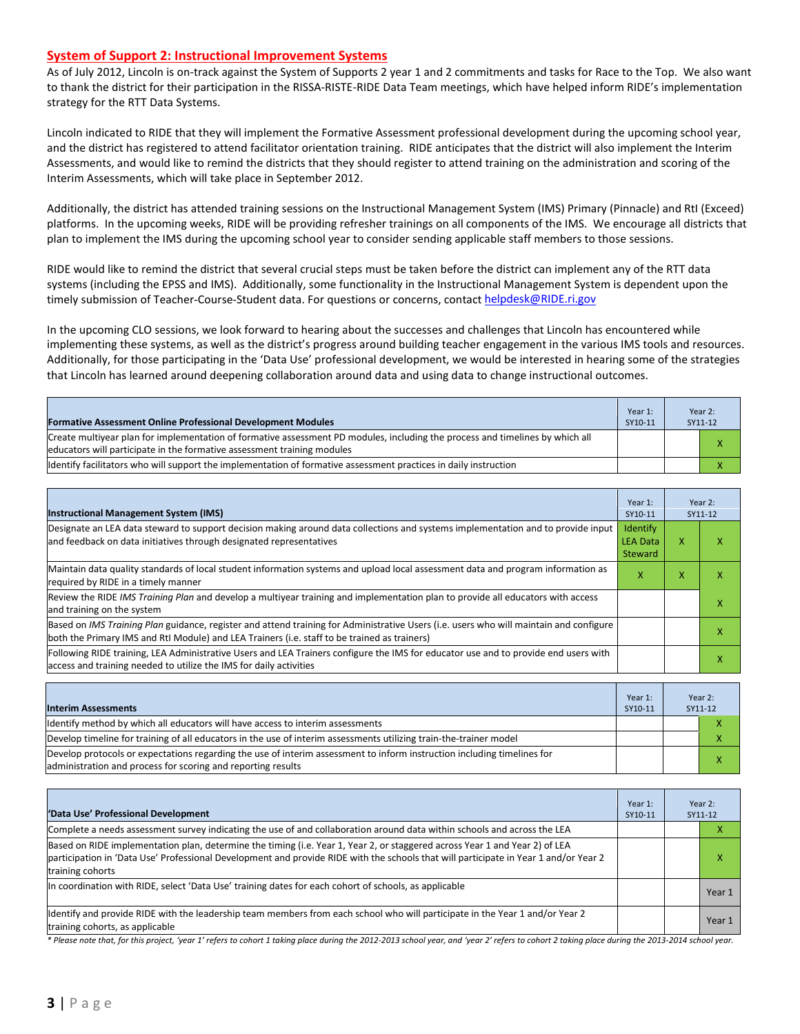#### **System of Support 2: Instructional Improvement Systems**

As of July 2012, Lincoln is on-track against the System of Supports 2 year 1 and 2 commitments and tasks for Race to the Top. We also want to thank the district for their participation in the RISSA-RISTE-RIDE Data Team meetings, which have helped inform RIDE's implementation strategy for the RTT Data Systems.

Lincoln indicated to RIDE that they will implement the Formative Assessment professional development during the upcoming school year, and the district has registered to attend facilitator orientation training. RIDE anticipates that the district will also implement the Interim Assessments, and would like to remind the districts that they should register to attend training on the administration and scoring of the Interim Assessments, which will take place in September 2012.

Additionally, the district has attended training sessions on the Instructional Management System (IMS) Primary (Pinnacle) and RtI (Exceed) platforms. In the upcoming weeks, RIDE will be providing refresher trainings on all components of the IMS. We encourage all districts that plan to implement the IMS during the upcoming school year to consider sending applicable staff members to those sessions.

RIDE would like to remind the district that several crucial steps must be taken before the district can implement any of the RTT data systems (including the EPSS and IMS). Additionally, some functionality in the Instructional Management System is dependent upon the timely submission of Teacher-Course-Student data. For questions or concerns, contact [helpdesk@RIDE.ri.gov](mailto:helpdesk@RIDE.ri.gov)

In the upcoming CLO sessions, we look forward to hearing about the successes and challenges that Lincoln has encountered while implementing these systems, as well as the district's progress around building teacher engagement in the various IMS tools and resources. Additionally, for those participating in the 'Data Use' professional development, we would be interested in hearing some of the strategies that Lincoln has learned around deepening collaboration around data and using data to change instructional outcomes.

| <b>Formative Assessment Online Professional Development Modules</b>                                                                                                                                      | Year 1:<br>SY10-11 | Year 2:<br>SY11-12 |
|----------------------------------------------------------------------------------------------------------------------------------------------------------------------------------------------------------|--------------------|--------------------|
| Create multivear plan for implementation of formative assessment PD modules, including the process and timelines by which all<br>educators will participate in the formative assessment training modules |                    |                    |
| Ildentify facilitators who will support the implementation of formative assessment practices in daily instruction                                                                                        |                    |                    |

| <b>Instructional Management System (IMS)</b>                                                                                                                                                                                           | Year 1:<br>SY10-11                            |   | Year 2:<br>SY11-12 |
|----------------------------------------------------------------------------------------------------------------------------------------------------------------------------------------------------------------------------------------|-----------------------------------------------|---|--------------------|
| Designate an LEA data steward to support decision making around data collections and systems implementation and to provide input<br>and feedback on data initiatives through designated representatives                                | <b>Identify</b><br><b>LEA Data</b><br>Steward | x |                    |
| Maintain data quality standards of local student information systems and upload local assessment data and program information as<br>required by RIDE in a timely manner                                                                |                                               |   |                    |
| Review the RIDE IMS Training Plan and develop a multivear training and implementation plan to provide all educators with access<br>and training on the system                                                                          |                                               |   | х                  |
| Based on IMS Training Plan guidance, register and attend training for Administrative Users (i.e. users who will maintain and configure<br>both the Primary IMS and RtI Module) and LEA Trainers (i.e. staff to be trained as trainers) |                                               |   | x                  |
| Following RIDE training, LEA Administrative Users and LEA Trainers configure the IMS for educator use and to provide end users with<br>access and training needed to utilize the IMS for daily activities                              |                                               |   |                    |

| <b>Interim Assessments</b>                                                                                                                                                              | Year 1:<br>SY10-11 | Year 2:<br>SY11-12 |
|-----------------------------------------------------------------------------------------------------------------------------------------------------------------------------------------|--------------------|--------------------|
| Identify method by which all educators will have access to interim assessments                                                                                                          |                    |                    |
| Develop timeline for training of all educators in the use of interim assessments utilizing train-the-trainer model                                                                      |                    |                    |
| Develop protocols or expectations regarding the use of interim assessment to inform instruction including timelines for<br>administration and process for scoring and reporting results |                    |                    |

| 'Data Use' Professional Development                                                                                                                                                                                                                                                     | Year 1:<br>SY10-11 |  | Year 2:<br>SY11-12 |
|-----------------------------------------------------------------------------------------------------------------------------------------------------------------------------------------------------------------------------------------------------------------------------------------|--------------------|--|--------------------|
| Complete a needs assessment survey indicating the use of and collaboration around data within schools and across the LEA                                                                                                                                                                |                    |  |                    |
| Based on RIDE implementation plan, determine the timing (i.e. Year 1, Year 2, or staggered across Year 1 and Year 2) of LEA<br>participation in 'Data Use' Professional Development and provide RIDE with the schools that will participate in Year 1 and/or Year 2<br>training cohorts |                    |  |                    |
| In coordination with RIDE, select 'Data Use' training dates for each cohort of schools, as applicable                                                                                                                                                                                   |                    |  | Year 1             |
| Ildentify and provide RIDE with the leadership team members from each school who will participate in the Year 1 and/or Year 2<br>training cohorts, as applicable                                                                                                                        |                    |  | Year 1             |

*\* Please note that, for this project, 'year 1' refers to cohort 1 taking place during the 2012-2013 school year, and 'year 2' refers to cohort 2 taking place during the 2013-2014 school year.*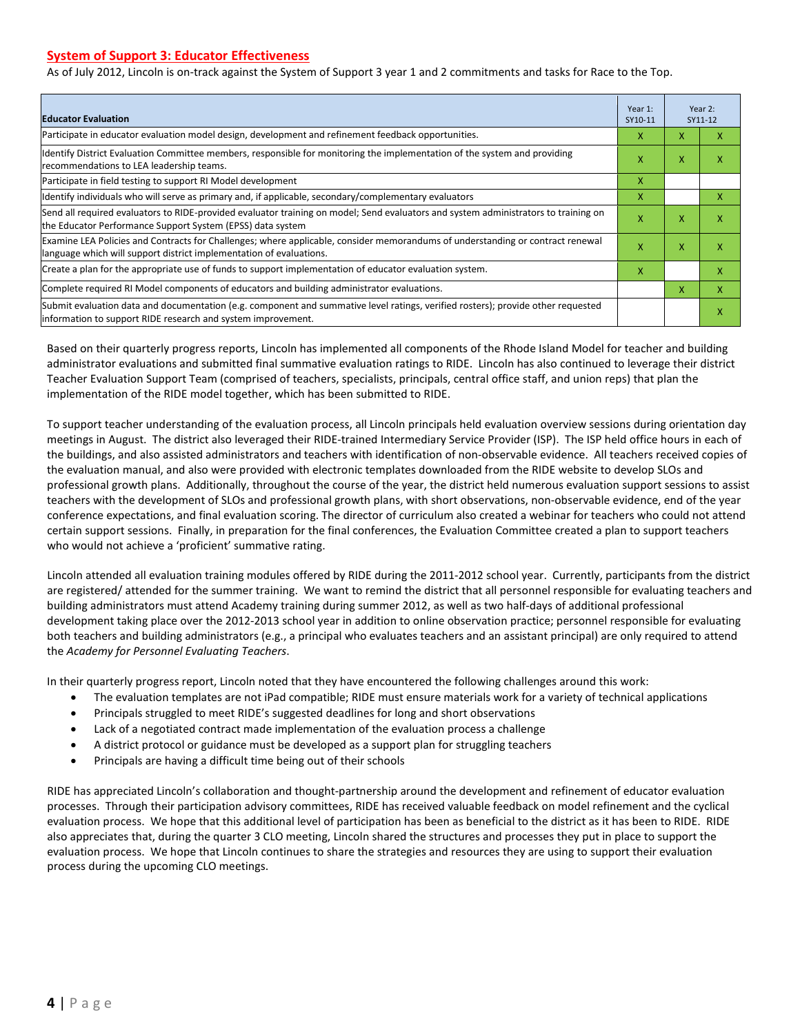#### **System of Support 3: Educator Effectiveness**

As of July 2012, Lincoln is on-track against the System of Support 3 year 1 and 2 commitments and tasks for Race to the Top.

| <b>Educator Evaluation</b>                                                                                                                                                                            |   |   | Year 2:<br>SY11-12 |
|-------------------------------------------------------------------------------------------------------------------------------------------------------------------------------------------------------|---|---|--------------------|
| Participate in educator evaluation model design, development and refinement feedback opportunities.                                                                                                   | x | X | x                  |
| Identify District Evaluation Committee members, responsible for monitoring the implementation of the system and providing<br>recommendations to LEA leadership teams.                                 |   |   | χ                  |
| Participate in field testing to support RI Model development                                                                                                                                          | X |   |                    |
| Identify individuals who will serve as primary and, if applicable, secondary/complementary evaluators                                                                                                 | x |   | X                  |
| Send all required evaluators to RIDE-provided evaluator training on model; Send evaluators and system administrators to training on<br>the Educator Performance Support System (EPSS) data system     | X | X | х                  |
| Examine LEA Policies and Contracts for Challenges; where applicable, consider memorandums of understanding or contract renewal<br>language which will support district implementation of evaluations. |   | X | х                  |
| Create a plan for the appropriate use of funds to support implementation of educator evaluation system.                                                                                               |   |   | x                  |
| Complete required RI Model components of educators and building administrator evaluations.                                                                                                            |   | x | x                  |
| Submit evaluation data and documentation (e.g. component and summative level ratings, verified rosters); provide other requested<br>linformation to support RIDE research and system improvement.     |   |   | х                  |

Based on their quarterly progress reports, Lincoln has implemented all components of the Rhode Island Model for teacher and building administrator evaluations and submitted final summative evaluation ratings to RIDE. Lincoln has also continued to leverage their district Teacher Evaluation Support Team (comprised of teachers, specialists, principals, central office staff, and union reps) that plan the implementation of the RIDE model together, which has been submitted to RIDE.

To support teacher understanding of the evaluation process, all Lincoln principals held evaluation overview sessions during orientation day meetings in August. The district also leveraged their RIDE-trained Intermediary Service Provider (ISP). The ISP held office hours in each of the buildings, and also assisted administrators and teachers with identification of non-observable evidence. All teachers received copies of the evaluation manual, and also were provided with electronic templates downloaded from the RIDE website to develop SLOs and professional growth plans. Additionally, throughout the course of the year, the district held numerous evaluation support sessions to assist teachers with the development of SLOs and professional growth plans, with short observations, non-observable evidence, end of the year conference expectations, and final evaluation scoring. The director of curriculum also created a webinar for teachers who could not attend certain support sessions. Finally, in preparation for the final conferences, the Evaluation Committee created a plan to support teachers who would not achieve a 'proficient' summative rating.

Lincoln attended all evaluation training modules offered by RIDE during the 2011-2012 school year. Currently, participants from the district are registered/ attended for the summer training. We want to remind the district that all personnel responsible for evaluating teachers and building administrators must attend Academy training during summer 2012, as well as two half-days of additional professional development taking place over the 2012-2013 school year in addition to online observation practice; personnel responsible for evaluating both teachers and building administrators (e.g., a principal who evaluates teachers and an assistant principal) are only required to attend the *Academy for Personnel Evaluating Teachers*.

In their quarterly progress report, Lincoln noted that they have encountered the following challenges around this work:

- The evaluation templates are not iPad compatible; RIDE must ensure materials work for a variety of technical applications
- Principals struggled to meet RIDE's suggested deadlines for long and short observations
- Lack of a negotiated contract made implementation of the evaluation process a challenge
- A district protocol or guidance must be developed as a support plan for struggling teachers
- Principals are having a difficult time being out of their schools

RIDE has appreciated Lincoln's collaboration and thought-partnership around the development and refinement of educator evaluation processes. Through their participation advisory committees, RIDE has received valuable feedback on model refinement and the cyclical evaluation process. We hope that this additional level of participation has been as beneficial to the district as it has been to RIDE. RIDE also appreciates that, during the quarter 3 CLO meeting, Lincoln shared the structures and processes they put in place to support the evaluation process. We hope that Lincoln continues to share the strategies and resources they are using to support their evaluation process during the upcoming CLO meetings.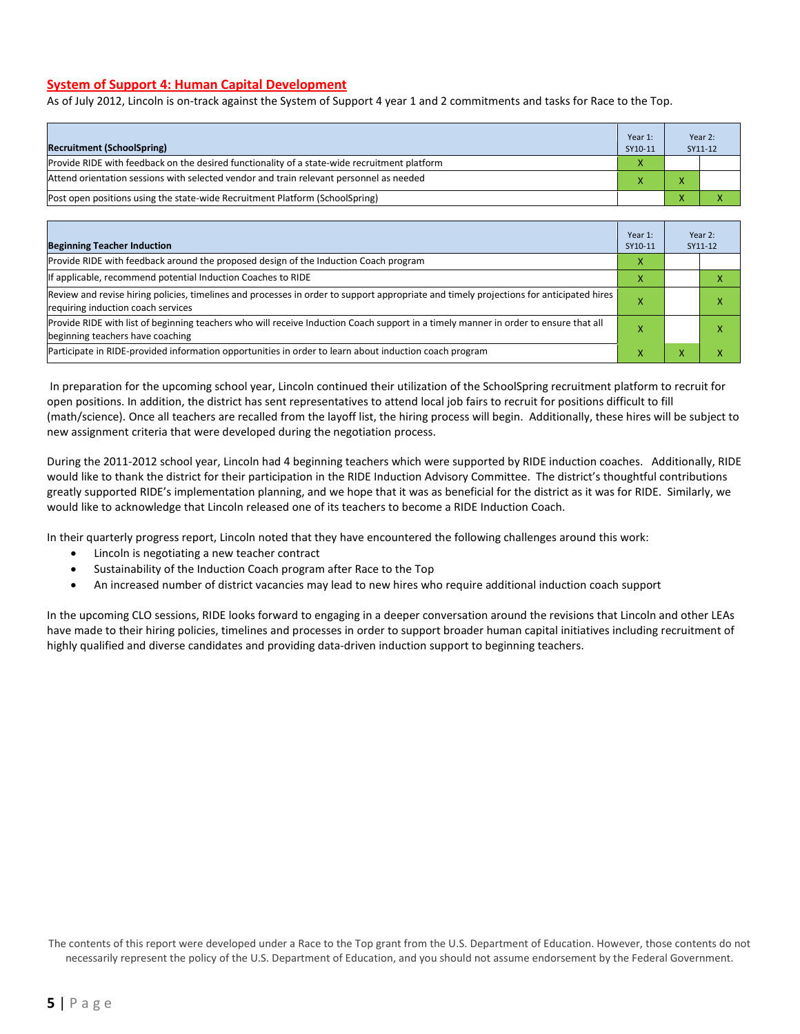#### **System of Support 4: Human Capital Development**

As of July 2012, Lincoln is on-track against the System of Support 4 year 1 and 2 commitments and tasks for Race to the Top.

| <b>Recruitment (SchoolSpring)</b>                                                            | Year 1:<br>SY10-11 |                          | Year 2:<br>SY11-12 |
|----------------------------------------------------------------------------------------------|--------------------|--------------------------|--------------------|
| Provide RIDE with feedback on the desired functionality of a state-wide recruitment platform |                    |                          |                    |
| Attend orientation sessions with selected vendor and train relevant personnel as needed      |                    | $\overline{ }$           |                    |
| (Post open positions using the state-wide Recruitment Platform (SchoolSpring)                |                    | $\overline{\phantom{a}}$ |                    |

| <b>Beginning Teacher Induction</b>                                                                                                                                            | Year 1:<br>SY10-11 |   | Year 2:<br>SY11-12 |
|-------------------------------------------------------------------------------------------------------------------------------------------------------------------------------|--------------------|---|--------------------|
| Provide RIDE with feedback around the proposed design of the Induction Coach program                                                                                          |                    |   |                    |
| If applicable, recommend potential Induction Coaches to RIDE                                                                                                                  |                    |   |                    |
| Review and revise hiring policies, timelines and processes in order to support appropriate and timely projections for anticipated hires<br>requiring induction coach services |                    |   | ⋏                  |
| Provide RIDE with list of beginning teachers who will receive Induction Coach support in a timely manner in order to ensure that all<br>beginning teachers have coaching      |                    |   |                    |
| Participate in RIDE-provided information opportunities in order to learn about induction coach program                                                                        | ^                  | ⋏ |                    |

In preparation for the upcoming school year, Lincoln continued their utilization of the SchoolSpring recruitment platform to recruit for open positions. In addition, the district has sent representatives to attend local job fairs to recruit for positions difficult to fill (math/science). Once all teachers are recalled from the layoff list, the hiring process will begin. Additionally, these hires will be subject to new assignment criteria that were developed during the negotiation process.

During the 2011-2012 school year, Lincoln had 4 beginning teachers which were supported by RIDE induction coaches. Additionally, RIDE would like to thank the district for their participation in the RIDE Induction Advisory Committee. The district's thoughtful contributions greatly supported RIDE's implementation planning, and we hope that it was as beneficial for the district as it was for RIDE. Similarly, we would like to acknowledge that Lincoln released one of its teachers to become a RIDE Induction Coach.

In their quarterly progress report, Lincoln noted that they have encountered the following challenges around this work:

- Lincoln is negotiating a new teacher contract
- Sustainability of the Induction Coach program after Race to the Top
- An increased number of district vacancies may lead to new hires who require additional induction coach support

In the upcoming CLO sessions, RIDE looks forward to engaging in a deeper conversation around the revisions that Lincoln and other LEAs have made to their hiring policies, timelines and processes in order to support broader human capital initiatives including recruitment of highly qualified and diverse candidates and providing data-driven induction support to beginning teachers.

The contents of this report were developed under a Race to the Top grant from the U.S. Department of Education. However, those contents do not necessarily represent the policy of the U.S. Department of Education, and you should not assume endorsement by the Federal Government.